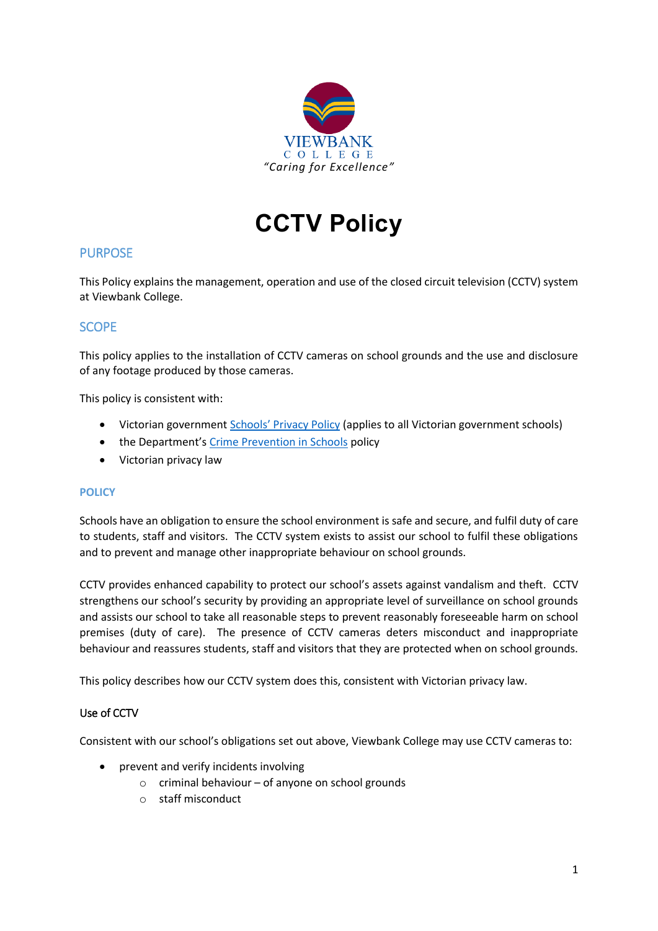

**CCTV Policy**

## PURPOSE

This Policy explains the management, operation and use of the closed circuit television (CCTV) system at Viewbank College.

## SCOPE

This policy applies to the installation of CCTV cameras on school grounds and the use and disclosure of any footage produced by those cameras.

This policy is consistent with:

- Victorian government [Schools' Privacy Policy](https://www.education.vic.gov.au/Pages/schoolsprivacypolicy.aspx) (applies to all Victorian government schools)
- the Department's [Crime Prevention in Schools](https://www2.education.vic.gov.au/pal/crime-prevention-schools/policy) policy
- Victorian privacy law

#### **POLICY**

Schools have an obligation to ensure the school environment is safe and secure, and fulfil duty of care to students, staff and visitors. The CCTV system exists to assist our school to fulfil these obligations and to prevent and manage other inappropriate behaviour on school grounds.

CCTV provides enhanced capability to protect our school's assets against vandalism and theft. CCTV strengthens our school's security by providing an appropriate level of surveillance on school grounds and assists our school to take all reasonable steps to prevent reasonably foreseeable harm on school premises (duty of care). The presence of CCTV cameras deters misconduct and inappropriate behaviour and reassures students, staff and visitors that they are protected when on school grounds.

This policy describes how our CCTV system does this, consistent with Victorian privacy law.

#### Use of CCTV

Consistent with our school's obligations set out above, Viewbank College may use CCTV cameras to:

- prevent and verify incidents involving
	- o criminal behaviour of anyone on school grounds
	- o staff misconduct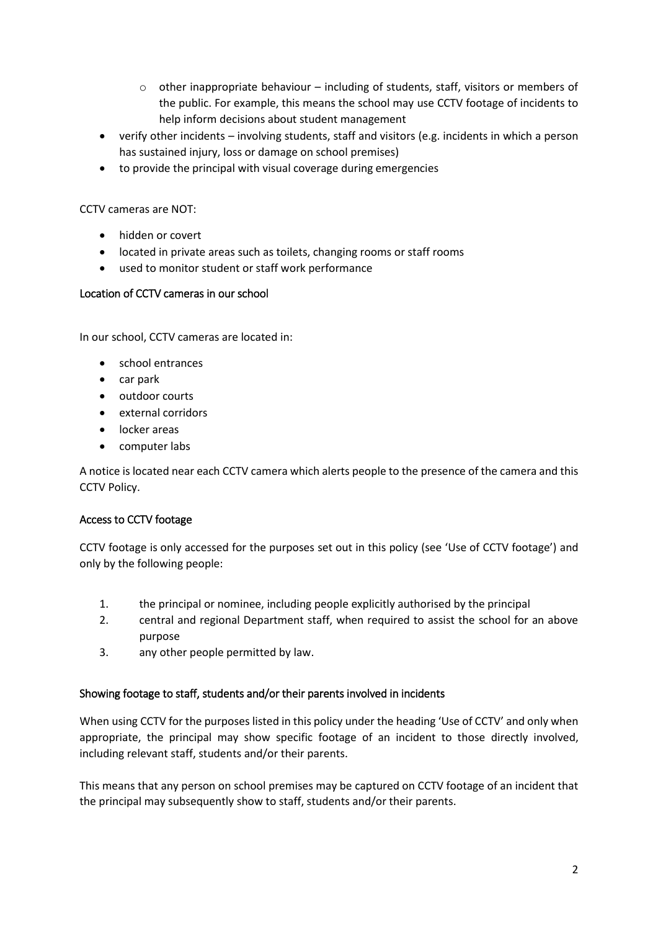- $\circ$  other inappropriate behaviour including of students, staff, visitors or members of the public. For example, this means the school may use CCTV footage of incidents to help inform decisions about student management
- verify other incidents involving students, staff and visitors (e.g. incidents in which a person has sustained injury, loss or damage on school premises)
- to provide the principal with visual coverage during emergencies

CCTV cameras are NOT:

- hidden or covert
- located in private areas such as toilets, changing rooms or staff rooms
- used to monitor student or staff work performance

### Location of CCTV cameras in our school

In our school, CCTV cameras are located in:

- school entrances
- car park
- outdoor courts
- external corridors
- **•** locker areas
- computer labs

A notice is located near each CCTV camera which alerts people to the presence of the camera and this CCTV Policy.

### Access to CCTV footage

CCTV footage is only accessed for the purposes set out in this policy (see 'Use of CCTV footage') and only by the following people:

- 1. the principal or nominee, including people explicitly authorised by the principal
- 2. central and regional Department staff, when required to assist the school for an above purpose
- 3. any other people permitted by law.

### Showing footage to staff, students and/or their parents involved in incidents

When using CCTV for the purposes listed in this policy under the heading 'Use of CCTV' and only when appropriate, the principal may show specific footage of an incident to those directly involved, including relevant staff, students and/or their parents.

This means that any person on school premises may be captured on CCTV footage of an incident that the principal may subsequently show to staff, students and/or their parents.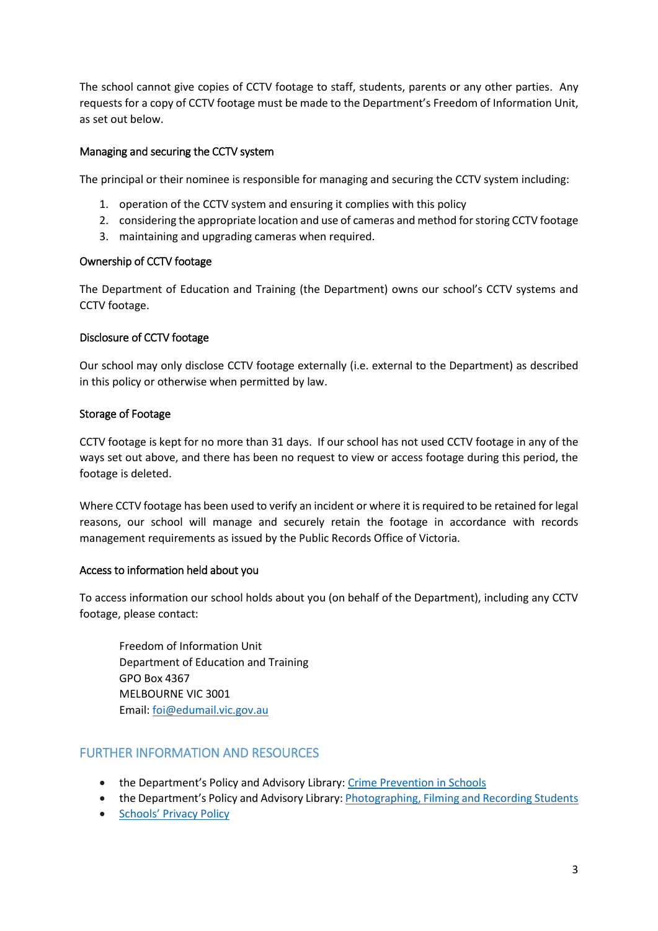The school cannot give copies of CCTV footage to staff, students, parents or any other parties. Any requests for a copy of CCTV footage must be made to the Department's Freedom of Information Unit, as set out below.

#### Managing and securing the CCTV system

The principal or their nominee is responsible for managing and securing the CCTV system including:

- 1. operation of the CCTV system and ensuring it complies with this policy
- 2. considering the appropriate location and use of cameras and method for storing CCTV footage
- 3. maintaining and upgrading cameras when required.

#### Ownership of CCTV footage

The Department of Education and Training (the Department) owns our school's CCTV systems and CCTV footage.

#### Disclosure of CCTV footage

Our school may only disclose CCTV footage externally (i.e. external to the Department) as described in this policy or otherwise when permitted by law.

#### Storage of Footage

CCTV footage is kept for no more than 31 days. If our school has not used CCTV footage in any of the ways set out above, and there has been no request to view or access footage during this period, the footage is deleted.

Where CCTV footage has been used to verify an incident or where it is required to be retained for legal reasons, our school will manage and securely retain the footage in accordance with records management requirements as issued by the Public Records Office of Victoria.

### Access to information held about you

To access information our school holds about you (on behalf of the Department), including any CCTV footage, please contact:

Freedom of Information Unit Department of Education and Training GPO Box 4367 MELBOURNE VIC 3001 Email: [foi@edumail.vic.gov.au](mailto:foi@edumail.vic.gov.au)

# FURTHER INFORMATION AND RESOURCES

- the Department's Policy and Advisory Library: [Crime Prevention in Schools](https://www2.education.vic.gov.au/pal/crime-prevention-schools/policy)
- the Department's Policy and Advisory Library: Photographing, [Filming and Recording Students](https://www2.education.vic.gov.au/pal/photographing-students/policy)
- [Schools' Privacy Policy](https://www.education.vic.gov.au/Pages/schoolsprivacypolicy.aspx)